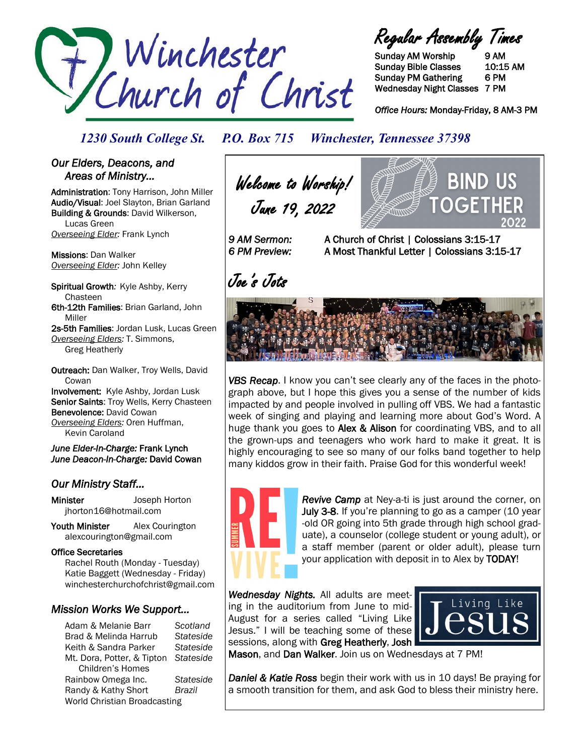

Regular Assembly Times

Sunday AM Worship 9 AM Sunday Bible Classes 10:15 AM Sunday PM Gathering 6 PM Wednesday Night Classes 7 PM

*Office Hours:* Monday-Friday, 8 AM-3 PM

*1230 South College St. P.O. Box 715 Winchester, Tennessee 37398*

### *Our Elders, Deacons, and Areas of Ministry…*

Administration: Tony Harrison, John Miller Audio/Visual: Joel Slayton, Brian Garland Building & Grounds: David Wilkerson, Lucas Green *Overseeing Elder:* Frank Lynch

Missions: Dan Walker *Overseeing Elder:* John Kelley

Spiritual Growth*:* Kyle Ashby, Kerry Chasteen 6th-12th Families: Brian Garland, John Miller

2s-5th Families: Jordan Lusk, Lucas Green *Overseeing Elders:* T. Simmons, Greg Heatherly

Outreach: Dan Walker, Troy Wells, David **Cowan** Involvement: Kyle Ashby, Jordan Lusk

Senior Saints: Troy Wells, Kerry Chasteen Benevolence: David Cowan *Overseeing Elders:* Oren Huffman, Kevin Caroland

*June Elder-In-Charge:* Frank Lynch *June Deacon-In-Charge:* David Cowan

### *Our Ministry Staff…*

Minister Joseph Horton jhorton16@hotmail.com

Youth Minister Alex Courington alexcourington@gmail.com

#### Office Secretaries

 Rachel Routh (Monday - Tuesday) Katie Baggett (Wednesday - Friday) winchesterchurchofchrist@gmail.com

### *Mission Works We Support…*

Adam & Melanie Barr *Scotland* Brad & Melinda Harrub *Stateside* Keith & Sandra Parker *Stateside* Mt. Dora, Potter, & Tipton *Stateside* Children's Homes Rainbow Omega Inc. *Stateside* Randy & Kathy Short *Brazil* World Christian Broadcasting

**BIND US** Welcome to Worship! June 19, 2022 OGFT *9 AM Sermon:* A Church of Christ | Colossians 3:15-17 *6 PM Preview:* A Most Thankful Letter | Colossians 3:15-17

Joe's Jots





*Revive Camp* at Ney-a-ti is just around the corner, on July 3-8. If you're planning to go as a camper (10 year -old OR going into 5th grade through high school graduate), a counselor (college student or young adult), or a staff member (parent or older adult), please turn your application with deposit in to Alex by TODAY!

*Wednesday Nights.* All adults are meeting in the auditorium from June to mid-August for a series called "Living Like Jesus." I will be teaching some of these sessions, along with Greg Heatherly, Josh



Mason, and Dan Walker. Join us on Wednesdays at 7 PM!

*Daniel & Katie Ross* begin their work with us in 10 days! Be praying for a smooth transition for them, and ask God to bless their ministry here.